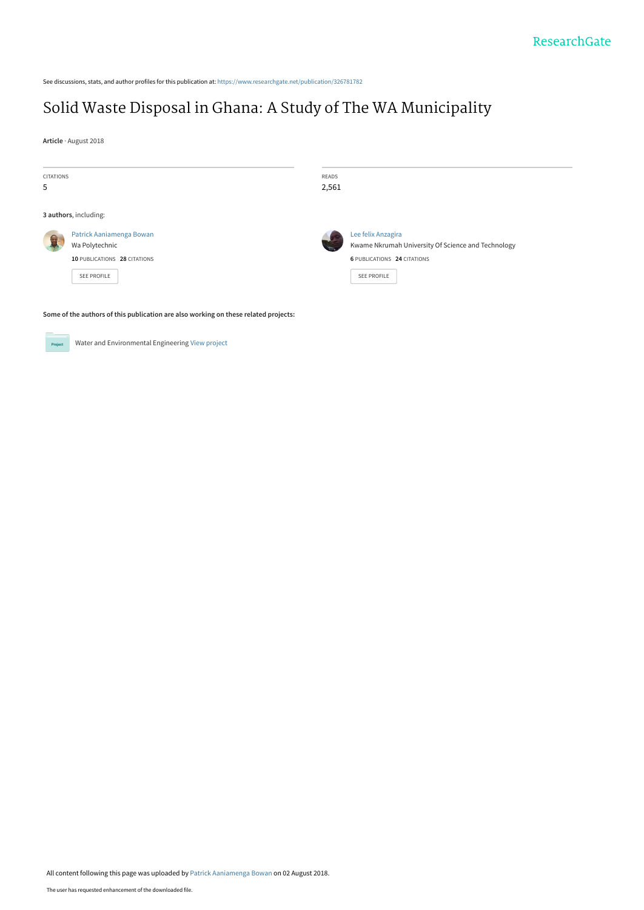See discussions, stats, and author profiles for this publication at: [https://www.researchgate.net/publication/326781782](https://www.researchgate.net/publication/326781782_Solid_Waste_Disposal_in_Ghana_A_Study_of_The_WA_Municipality?enrichId=rgreq-34e99ef9f72dc813f93125be9fc07ad4-XXX&enrichSource=Y292ZXJQYWdlOzMyNjc4MTc4MjtBUzo2NTUxNzY2OTYzNTI3NjhAMTUzMzIxNzcwNTAxNg%3D%3D&el=1_x_2&_esc=publicationCoverPdf)

# [Solid Waste Disposal in Ghana: A Study of The WA Municipality](https://www.researchgate.net/publication/326781782_Solid_Waste_Disposal_in_Ghana_A_Study_of_The_WA_Municipality?enrichId=rgreq-34e99ef9f72dc813f93125be9fc07ad4-XXX&enrichSource=Y292ZXJQYWdlOzMyNjc4MTc4MjtBUzo2NTUxNzY2OTYzNTI3NjhAMTUzMzIxNzcwNTAxNg%3D%3D&el=1_x_3&_esc=publicationCoverPdf)

**Article** · August 2018

| CITATIONS<br>5 |                                                                            | READS<br>2,561 |                                                                                                                |
|----------------|----------------------------------------------------------------------------|----------------|----------------------------------------------------------------------------------------------------------------|
|                | 3 authors, including:                                                      |                |                                                                                                                |
|                | Patrick Aaniamenga Bowan<br>Wa Polytechnic<br>10 PUBLICATIONS 28 CITATIONS |                | Lee felix Anzagira<br>Kwame Nkrumah University Of Science and Technology<br><b>6 PUBLICATIONS 24 CITATIONS</b> |
|                | SEE PROFILE                                                                |                | SEE PROFILE                                                                                                    |

**Some of the authors of this publication are also working on these related projects:**



Water and Environmental Engineering [View project](https://www.researchgate.net/project/Water-and-Environmental-Engineering-2?enrichId=rgreq-34e99ef9f72dc813f93125be9fc07ad4-XXX&enrichSource=Y292ZXJQYWdlOzMyNjc4MTc4MjtBUzo2NTUxNzY2OTYzNTI3NjhAMTUzMzIxNzcwNTAxNg%3D%3D&el=1_x_9&_esc=publicationCoverPdf)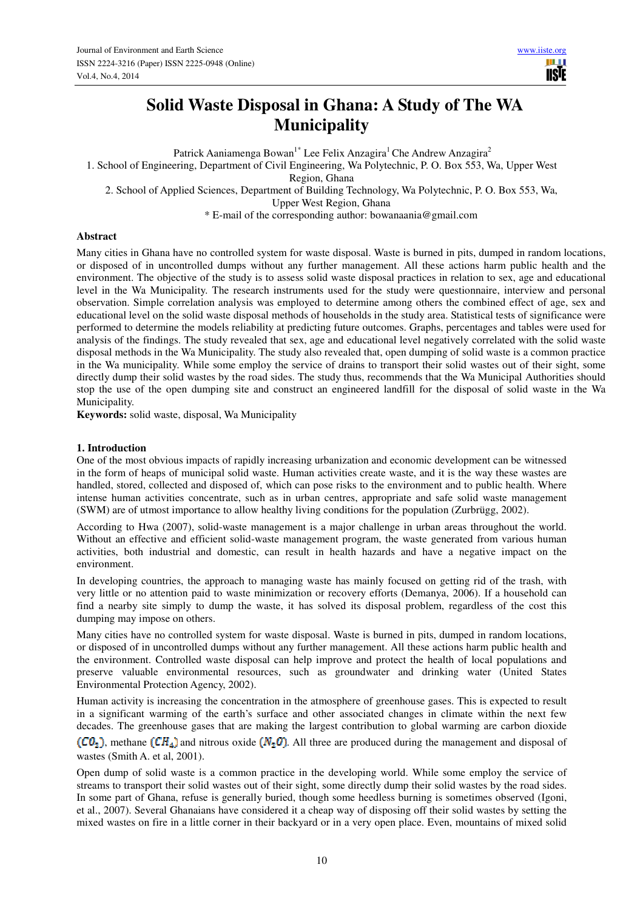# **Solid Waste Disposal in Ghana: A Study of The WA Municipality**

Patrick Aaniamenga Bowan<sup>1\*</sup> Lee Felix Anzagira<sup>1</sup> Che Andrew Anzagira<sup>2</sup>

1. School of Engineering, Department of Civil Engineering, Wa Polytechnic, P. O. Box 553, Wa, Upper West

Region, Ghana

2. School of Applied Sciences, Department of Building Technology, Wa Polytechnic, P. O. Box 553, Wa,

Upper West Region, Ghana

\* E-mail of the corresponding author: bowanaania@gmail.com

#### **Abstract**

Many cities in Ghana have no controlled system for waste disposal. Waste is burned in pits, dumped in random locations, or disposed of in uncontrolled dumps without any further management. All these actions harm public health and the environment. The objective of the study is to assess solid waste disposal practices in relation to sex, age and educational level in the Wa Municipality. The research instruments used for the study were questionnaire, interview and personal observation. Simple correlation analysis was employed to determine among others the combined effect of age, sex and educational level on the solid waste disposal methods of households in the study area. Statistical tests of significance were performed to determine the models reliability at predicting future outcomes. Graphs, percentages and tables were used for analysis of the findings. The study revealed that sex, age and educational level negatively correlated with the solid waste disposal methods in the Wa Municipality. The study also revealed that, open dumping of solid waste is a common practice in the Wa municipality. While some employ the service of drains to transport their solid wastes out of their sight, some directly dump their solid wastes by the road sides. The study thus, recommends that the Wa Municipal Authorities should stop the use of the open dumping site and construct an engineered landfill for the disposal of solid waste in the Wa Municipality.

**Keywords:** solid waste, disposal, Wa Municipality

#### **1. Introduction**

One of the most obvious impacts of rapidly increasing urbanization and economic development can be witnessed in the form of heaps of municipal solid waste. Human activities create waste, and it is the way these wastes are handled, stored, collected and disposed of, which can pose risks to the environment and to public health. Where intense human activities concentrate, such as in urban centres, appropriate and safe solid waste management (SWM) are of utmost importance to allow healthy living conditions for the population (Zurbrügg, 2002).

According to Hwa (2007), solid-waste management is a major challenge in urban areas throughout the world. Without an effective and efficient solid-waste management program, the waste generated from various human activities, both industrial and domestic, can result in health hazards and have a negative impact on the environment.

In developing countries, the approach to managing waste has mainly focused on getting rid of the trash, with very little or no attention paid to waste minimization or recovery efforts (Demanya, 2006). If a household can find a nearby site simply to dump the waste, it has solved its disposal problem, regardless of the cost this dumping may impose on others.

Many cities have no controlled system for waste disposal. Waste is burned in pits, dumped in random locations, or disposed of in uncontrolled dumps without any further management. All these actions harm public health and the environment. Controlled waste disposal can help improve and protect the health of local populations and preserve valuable environmental resources, such as groundwater and drinking water (United States Environmental Protection Agency, 2002).

Human activity is increasing the concentration in the atmosphere of greenhouse gases. This is expected to result in a significant warming of the earth's surface and other associated changes in climate within the next few decades. The greenhouse gases that are making the largest contribution to global warming are carbon dioxide  $(CO_2)$ , methane  $(CH_4)$  and nitrous oxide  $(N_2O)$ . All three are produced during the management and disposal of

wastes (Smith A. et al, 2001).

Open dump of solid waste is a common practice in the developing world. While some employ the service of streams to transport their solid wastes out of their sight, some directly dump their solid wastes by the road sides. In some part of Ghana, refuse is generally buried, though some heedless burning is sometimes observed (Igoni, et al., 2007). Several Ghanaians have considered it a cheap way of disposing off their solid wastes by setting the mixed wastes on fire in a little corner in their backyard or in a very open place. Even, mountains of mixed solid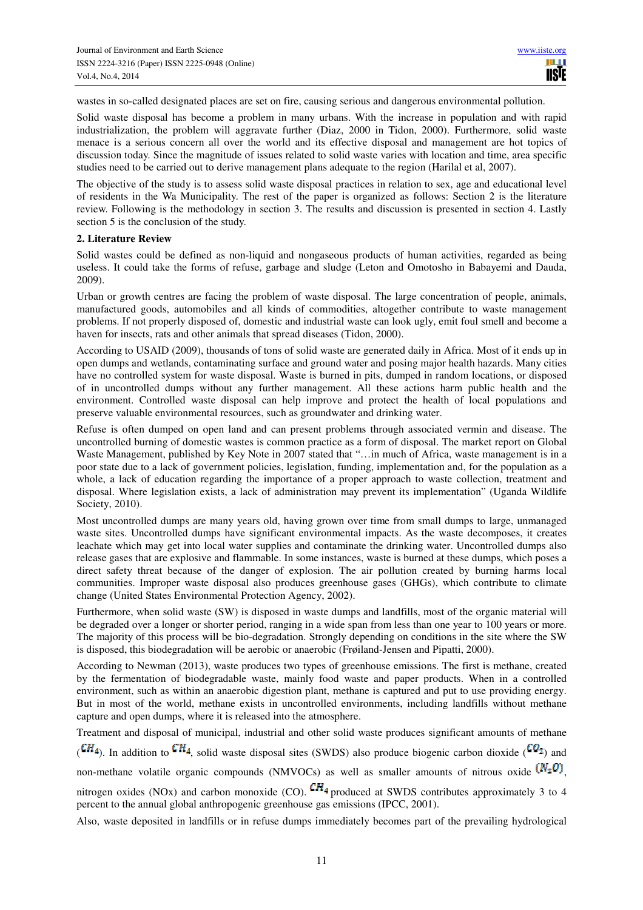wastes in so-called designated places are set on fire, causing serious and dangerous environmental pollution.

Solid waste disposal has become a problem in many urbans. With the increase in population and with rapid industrialization, the problem will aggravate further (Diaz, 2000 in Tidon, 2000). Furthermore, solid waste menace is a serious concern all over the world and its effective disposal and management are hot topics of discussion today. Since the magnitude of issues related to solid waste varies with location and time, area specific studies need to be carried out to derive management plans adequate to the region (Harilal et al, 2007).

The objective of the study is to assess solid waste disposal practices in relation to sex, age and educational level of residents in the Wa Municipality. The rest of the paper is organized as follows: Section 2 is the literature review. Following is the methodology in section 3. The results and discussion is presented in section 4. Lastly section 5 is the conclusion of the study.

#### **2. Literature Review**

Solid wastes could be defined as non-liquid and nongaseous products of human activities, regarded as being useless. It could take the forms of refuse, garbage and sludge (Leton and Omotosho in Babayemi and Dauda, 2009).

Urban or growth centres are facing the problem of waste disposal. The large concentration of people, animals, manufactured goods, automobiles and all kinds of commodities, altogether contribute to waste management problems. If not properly disposed of, domestic and industrial waste can look ugly, emit foul smell and become a haven for insects, rats and other animals that spread diseases (Tidon, 2000).

According to USAID (2009), thousands of tons of solid waste are generated daily in Africa. Most of it ends up in open dumps and wetlands, contaminating surface and ground water and posing major health hazards. Many cities have no controlled system for waste disposal. Waste is burned in pits, dumped in random locations, or disposed of in uncontrolled dumps without any further management. All these actions harm public health and the environment. Controlled waste disposal can help improve and protect the health of local populations and preserve valuable environmental resources, such as groundwater and drinking water.

Refuse is often dumped on open land and can present problems through associated vermin and disease. The uncontrolled burning of domestic wastes is common practice as a form of disposal. The market report on Global Waste Management, published by Key Note in 2007 stated that "...in much of Africa, waste management is in a poor state due to a lack of government policies, legislation, funding, implementation and, for the population as a whole, a lack of education regarding the importance of a proper approach to waste collection, treatment and disposal. Where legislation exists, a lack of administration may prevent its implementation" (Uganda Wildlife Society, 2010).

Most uncontrolled dumps are many years old, having grown over time from small dumps to large, unmanaged waste sites. Uncontrolled dumps have significant environmental impacts. As the waste decomposes, it creates leachate which may get into local water supplies and contaminate the drinking water. Uncontrolled dumps also release gases that are explosive and flammable. In some instances, waste is burned at these dumps, which poses a direct safety threat because of the danger of explosion. The air pollution created by burning harms local communities. Improper waste disposal also produces greenhouse gases (GHGs), which contribute to climate change (United States Environmental Protection Agency, 2002).

Furthermore, when solid waste (SW) is disposed in waste dumps and landfills, most of the organic material will be degraded over a longer or shorter period, ranging in a wide span from less than one year to 100 years or more. The majority of this process will be bio-degradation. Strongly depending on conditions in the site where the SW is disposed, this biodegradation will be aerobic or anaerobic (Frøiland-Jensen and Pipatti, 2000).

According to Newman (2013), waste produces two types of greenhouse emissions. The first is methane, created by the fermentation of biodegradable waste, mainly food waste and paper products. When in a controlled environment, such as within an anaerobic digestion plant, methane is captured and put to use providing energy. But in most of the world, methane exists in uncontrolled environments, including landfills without methane capture and open dumps, where it is released into the atmosphere.

Treatment and disposal of municipal, industrial and other solid waste produces significant amounts of methane

 $({\bf C}H_4)$ . In addition to  ${\bf C}H_4$ , solid waste disposal sites (SWDS) also produce biogenic carbon dioxide ( ${\bf C}Q_2$ ) and

non-methane volatile organic compounds (NMVOCs) as well as smaller amounts of nitrous oxide  $(N_2 0)$ ,

nitrogen oxides (NOx) and carbon monoxide (CO).  $\mathbb{C}H_4$  produced at SWDS contributes approximately 3 to 4 percent to the annual global anthropogenic greenhouse gas emissions (IPCC, 2001).

Also, waste deposited in landfills or in refuse dumps immediately becomes part of the prevailing hydrological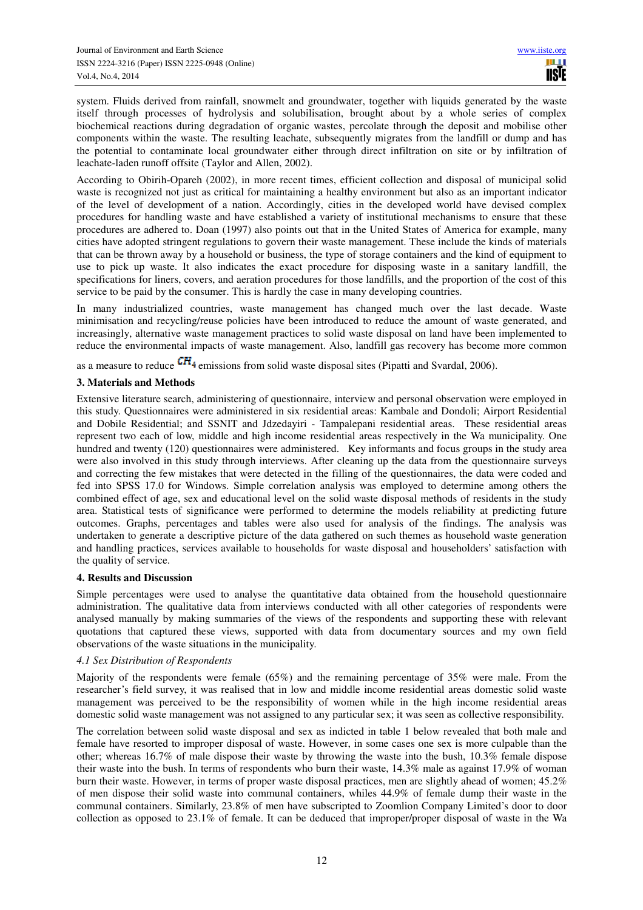system. Fluids derived from rainfall, snowmelt and groundwater, together with liquids generated by the waste itself through processes of hydrolysis and solubilisation, brought about by a whole series of complex biochemical reactions during degradation of organic wastes, percolate through the deposit and mobilise other components within the waste. The resulting leachate, subsequently migrates from the landfill or dump and has the potential to contaminate local groundwater either through direct infiltration on site or by infiltration of leachate-laden runoff offsite (Taylor and Allen, 2002).

According to Obirih-Opareh (2002), in more recent times, efficient collection and disposal of municipal solid waste is recognized not just as critical for maintaining a healthy environment but also as an important indicator of the level of development of a nation. Accordingly, cities in the developed world have devised complex procedures for handling waste and have established a variety of institutional mechanisms to ensure that these procedures are adhered to. Doan (1997) also points out that in the United States of America for example, many cities have adopted stringent regulations to govern their waste management. These include the kinds of materials that can be thrown away by a household or business, the type of storage containers and the kind of equipment to use to pick up waste. It also indicates the exact procedure for disposing waste in a sanitary landfill, the specifications for liners, covers, and aeration procedures for those landfills, and the proportion of the cost of this service to be paid by the consumer. This is hardly the case in many developing countries.

In many industrialized countries, waste management has changed much over the last decade. Waste minimisation and recycling/reuse policies have been introduced to reduce the amount of waste generated, and increasingly, alternative waste management practices to solid waste disposal on land have been implemented to reduce the environmental impacts of waste management. Also, landfill gas recovery has become more common

as a measure to reduce  $\text{CH}_4$  emissions from solid waste disposal sites (Pipatti and Svardal, 2006).

# **3. Materials and Methods**

Extensive literature search, administering of questionnaire, interview and personal observation were employed in this study. Questionnaires were administered in six residential areas: Kambale and Dondoli; Airport Residential and Dobile Residential; and SSNIT and Jdzedayiri - Tampalepani residential areas. These residential areas represent two each of low, middle and high income residential areas respectively in the Wa municipality. One hundred and twenty (120) questionnaires were administered. Key informants and focus groups in the study area were also involved in this study through interviews. After cleaning up the data from the questionnaire surveys and correcting the few mistakes that were detected in the filling of the questionnaires, the data were coded and fed into SPSS 17.0 for Windows. Simple correlation analysis was employed to determine among others the combined effect of age, sex and educational level on the solid waste disposal methods of residents in the study area. Statistical tests of significance were performed to determine the models reliability at predicting future outcomes. Graphs, percentages and tables were also used for analysis of the findings. The analysis was undertaken to generate a descriptive picture of the data gathered on such themes as household waste generation and handling practices, services available to households for waste disposal and householders' satisfaction with the quality of service.

## **4. Results and Discussion**

Simple percentages were used to analyse the quantitative data obtained from the household questionnaire administration. The qualitative data from interviews conducted with all other categories of respondents were analysed manually by making summaries of the views of the respondents and supporting these with relevant quotations that captured these views, supported with data from documentary sources and my own field observations of the waste situations in the municipality.

#### *4.1 Sex Distribution of Respondents*

Majority of the respondents were female (65%) and the remaining percentage of 35% were male. From the researcher's field survey, it was realised that in low and middle income residential areas domestic solid waste management was perceived to be the responsibility of women while in the high income residential areas domestic solid waste management was not assigned to any particular sex; it was seen as collective responsibility.

The correlation between solid waste disposal and sex as indicted in table 1 below revealed that both male and female have resorted to improper disposal of waste. However, in some cases one sex is more culpable than the other; whereas 16.7% of male dispose their waste by throwing the waste into the bush, 10.3% female dispose their waste into the bush. In terms of respondents who burn their waste, 14.3% male as against 17.9% of woman burn their waste. However, in terms of proper waste disposal practices, men are slightly ahead of women; 45.2% of men dispose their solid waste into communal containers, whiles 44.9% of female dump their waste in the communal containers. Similarly, 23.8% of men have subscripted to Zoomlion Company Limited's door to door collection as opposed to 23.1% of female. It can be deduced that improper/proper disposal of waste in the Wa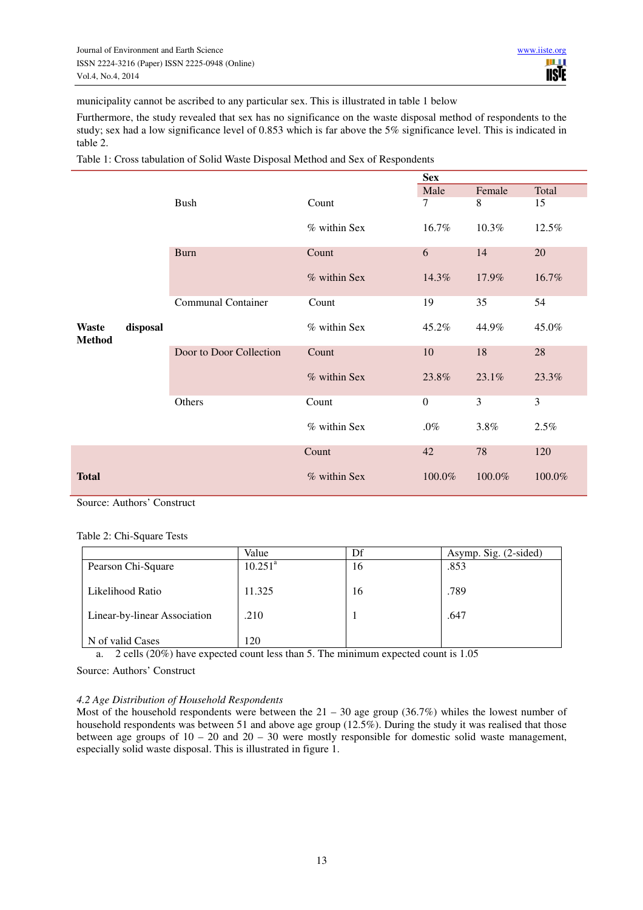municipality cannot be ascribed to any particular sex. This is illustrated in table 1 below

Furthermore, the study revealed that sex has no significance on the waste disposal method of respondents to the study; sex had a low significance level of 0.853 which is far above the 5% significance level. This is indicated in table 2.

Table 1: Cross tabulation of Solid Waste Disposal Method and Sex of Respondents

|                               |          |                           |              |                  | <b>Sex</b> |        |  |  |
|-------------------------------|----------|---------------------------|--------------|------------------|------------|--------|--|--|
|                               |          |                           |              | Male             | Female     | Total  |  |  |
|                               |          | <b>Bush</b>               | Count        | 7                | 8          | 15     |  |  |
|                               |          |                           | % within Sex | 16.7%            | 10.3%      | 12.5%  |  |  |
|                               |          | <b>Burn</b>               | Count        | 6                | 14         | 20     |  |  |
|                               |          |                           | % within Sex | 14.3%            | 17.9%      | 16.7%  |  |  |
|                               |          | <b>Communal Container</b> | Count        | 19               | 35         | 54     |  |  |
| <b>Waste</b><br><b>Method</b> | disposal |                           | % within Sex | 45.2%            | 44.9%      | 45.0%  |  |  |
|                               |          | Door to Door Collection   | Count        | 10               | 18         | 28     |  |  |
|                               |          |                           | % within Sex | 23.8%            | 23.1%      | 23.3%  |  |  |
|                               |          | Others                    | Count        | $\boldsymbol{0}$ | 3          | 3      |  |  |
|                               |          |                           | % within Sex | $.0\%$           | 3.8%       | 2.5%   |  |  |
|                               |          |                           | Count        | 42               | 78         | 120    |  |  |
| <b>Total</b>                  |          |                           | % within Sex | 100.0%           | 100.0%     | 100.0% |  |  |

Source: Authors' Construct

Table 2: Chi-Square Tests

|                              | Value      | Df | Asymp. Sig. (2-sided) |
|------------------------------|------------|----|-----------------------|
| Pearson Chi-Square           | $10.251^a$ | 16 | .853                  |
| Likelihood Ratio             | 11.325     | 16 | .789                  |
| Linear-by-linear Association | .210       |    | .647                  |
| N of valid Cases             | 120        |    |                       |

a. 2 cells (20%) have expected count less than 5. The minimum expected count is 1.05

Source: Authors' Construct

#### *4.2 Age Distribution of Household Respondents*

Most of the household respondents were between the  $21 - 30$  age group (36.7%) whiles the lowest number of household respondents was between 51 and above age group (12.5%). During the study it was realised that those between age groups of  $10 - 20$  and  $20 - 30$  were mostly responsible for domestic solid waste management, especially solid waste disposal. This is illustrated in figure 1.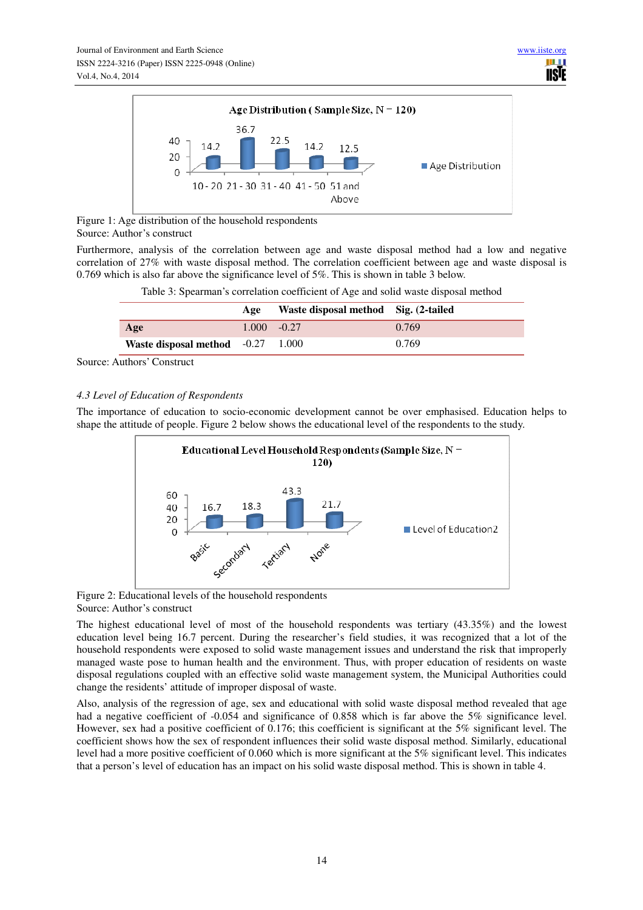

Figure 1: Age distribution of the household respondents Source: Author's construct

Furthermore, analysis of the correlation between age and waste disposal method had a low and negative correlation of 27% with waste disposal method. The correlation coefficient between age and waste disposal is 0.769 which is also far above the significance level of 5%. This is shown in table 3 below.

|  | Table 3: Spearman's correlation coefficient of Age and solid waste disposal method |
|--|------------------------------------------------------------------------------------|
|  |                                                                                    |

|                                     | Age | Waste disposal method Sig. (2-tailed |       |
|-------------------------------------|-----|--------------------------------------|-------|
| Age                                 |     | $1.000 - 0.27$                       | 0.769 |
| Waste disposal method $-0.27$ 1.000 |     |                                      | 0.769 |

Source: Authors' Construct

# *4.3 Level of Education of Respondents*

The importance of education to socio-economic development cannot be over emphasised. Education helps to shape the attitude of people. Figure 2 below shows the educational level of the respondents to the study.



Figure 2: Educational levels of the household respondents Source: Author's construct

The highest educational level of most of the household respondents was tertiary (43.35%) and the lowest education level being 16.7 percent. During the researcher's field studies, it was recognized that a lot of the household respondents were exposed to solid waste management issues and understand the risk that improperly managed waste pose to human health and the environment. Thus, with proper education of residents on waste disposal regulations coupled with an effective solid waste management system, the Municipal Authorities could change the residents' attitude of improper disposal of waste.

Also, analysis of the regression of age, sex and educational with solid waste disposal method revealed that age had a negative coefficient of -0.054 and significance of 0.858 which is far above the 5% significance level. However, sex had a positive coefficient of 0.176; this coefficient is significant at the 5% significant level. The coefficient shows how the sex of respondent influences their solid waste disposal method. Similarly, educational level had a more positive coefficient of 0.060 which is more significant at the 5% significant level. This indicates that a person's level of education has an impact on his solid waste disposal method. This is shown in table 4.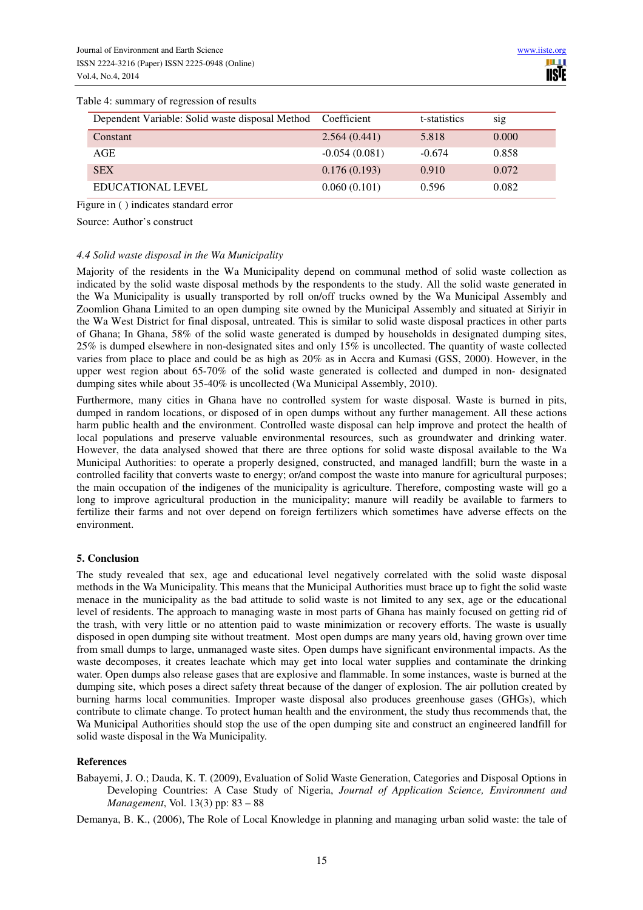#### Table 4: summary of regression of results

| Dependent Variable: Solid waste disposal Method | Coefficient     | t-statistics | sig   |
|-------------------------------------------------|-----------------|--------------|-------|
| Constant                                        | 2.564(0.441)    | 5.818        | 0.000 |
| AGE                                             | $-0.054(0.081)$ | $-0.674$     | 0.858 |
| <b>SEX</b>                                      | 0.176(0.193)    | 0.910        | 0.072 |
| EDUCATIONAL LEVEL                               | 0.060(0.101)    | 0.596        | 0.082 |

Figure in ( ) indicates standard error

Source: Author's construct

#### *4.4 Solid waste disposal in the Wa Municipality*

Majority of the residents in the Wa Municipality depend on communal method of solid waste collection as indicated by the solid waste disposal methods by the respondents to the study. All the solid waste generated in the Wa Municipality is usually transported by roll on/off trucks owned by the Wa Municipal Assembly and Zoomlion Ghana Limited to an open dumping site owned by the Municipal Assembly and situated at Siriyir in the Wa West District for final disposal, untreated. This is similar to solid waste disposal practices in other parts of Ghana; In Ghana, 58% of the solid waste generated is dumped by households in designated dumping sites, 25% is dumped elsewhere in non-designated sites and only 15% is uncollected. The quantity of waste collected varies from place to place and could be as high as 20% as in Accra and Kumasi (GSS, 2000). However, in the upper west region about 65-70% of the solid waste generated is collected and dumped in non- designated dumping sites while about 35-40% is uncollected (Wa Municipal Assembly, 2010).

Furthermore, many cities in Ghana have no controlled system for waste disposal. Waste is burned in pits, dumped in random locations, or disposed of in open dumps without any further management. All these actions harm public health and the environment. Controlled waste disposal can help improve and protect the health of local populations and preserve valuable environmental resources, such as groundwater and drinking water. However, the data analysed showed that there are three options for solid waste disposal available to the Wa Municipal Authorities: to operate a properly designed, constructed, and managed landfill; burn the waste in a controlled facility that converts waste to energy; or/and compost the waste into manure for agricultural purposes; the main occupation of the indigenes of the municipality is agriculture. Therefore, composting waste will go a long to improve agricultural production in the municipality; manure will readily be available to farmers to fertilize their farms and not over depend on foreign fertilizers which sometimes have adverse effects on the environment.

#### **5. Conclusion**

The study revealed that sex, age and educational level negatively correlated with the solid waste disposal methods in the Wa Municipality. This means that the Municipal Authorities must brace up to fight the solid waste menace in the municipality as the bad attitude to solid waste is not limited to any sex, age or the educational level of residents. The approach to managing waste in most parts of Ghana has mainly focused on getting rid of the trash, with very little or no attention paid to waste minimization or recovery efforts. The waste is usually disposed in open dumping site without treatment. Most open dumps are many years old, having grown over time from small dumps to large, unmanaged waste sites. Open dumps have significant environmental impacts. As the waste decomposes, it creates leachate which may get into local water supplies and contaminate the drinking water. Open dumps also release gases that are explosive and flammable. In some instances, waste is burned at the dumping site, which poses a direct safety threat because of the danger of explosion. The air pollution created by burning harms local communities. Improper waste disposal also produces greenhouse gases (GHGs), which contribute to climate change. To protect human health and the environment, the study thus recommends that, the Wa Municipal Authorities should stop the use of the open dumping site and construct an engineered landfill for solid waste disposal in the Wa Municipality.

## **References**

Babayemi, J. O.; Dauda, K. T. (2009), Evaluation of Solid Waste Generation, Categories and Disposal Options in Developing Countries: A Case Study of Nigeria, *Journal of Application Science, Environment and Management*, Vol. 13(3) pp: 83 – 88

Demanya, B. K., (2006), The Role of Local Knowledge in planning and managing urban solid waste: the tale of